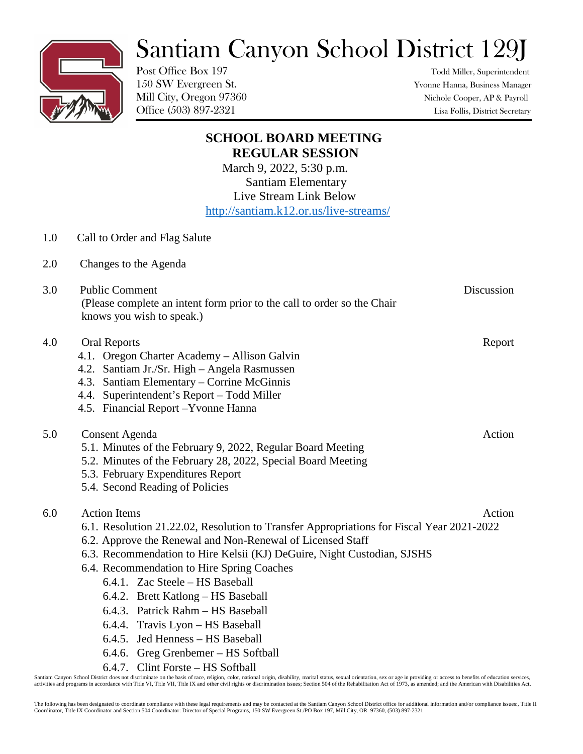## Santiam Canyon School District 129J

Post Office Box 197 Todd Miller, Superintendent

150 SW Evergreen St. Yvonne Hanna, Business Manager Mill City, Oregon 97360 Nichole Cooper, AP & Payroll Office (503) 897-2321 Lisa Follis, District Secretary

|     | <b>SCHOOL BOARD MEETING</b>                                                                                                                 |  |
|-----|---------------------------------------------------------------------------------------------------------------------------------------------|--|
|     | <b>REGULAR SESSION</b>                                                                                                                      |  |
|     | March 9, 2022, 5:30 p.m.<br><b>Santiam Elementary</b>                                                                                       |  |
|     | Live Stream Link Below                                                                                                                      |  |
|     | http://santiam.k12.or.us/live-streams/                                                                                                      |  |
| 1.0 | Call to Order and Flag Salute                                                                                                               |  |
| 2.0 | Changes to the Agenda                                                                                                                       |  |
| 3.0 | <b>Public Comment</b><br>Discussion<br>(Please complete an intent form prior to the call to order so the Chair<br>knows you wish to speak.) |  |
| 4.0 | Report<br><b>Oral Reports</b>                                                                                                               |  |
|     | 4.1. Oregon Charter Academy – Allison Galvin                                                                                                |  |
|     | 4.2. Santiam Jr./Sr. High - Angela Rasmussen                                                                                                |  |
|     | 4.3. Santiam Elementary – Corrine McGinnis<br>4.4. Superintendent's Report - Todd Miller                                                    |  |
|     | 4.5. Financial Report - Yvonne Hanna                                                                                                        |  |
| 5.0 | Action<br>Consent Agenda                                                                                                                    |  |
|     | 5.1. Minutes of the February 9, 2022, Regular Board Meeting                                                                                 |  |
|     | 5.2. Minutes of the February 28, 2022, Special Board Meeting                                                                                |  |
|     | 5.3. February Expenditures Report                                                                                                           |  |
|     | 5.4. Second Reading of Policies                                                                                                             |  |
| 6.0 | <b>Action Items</b><br>Action                                                                                                               |  |
|     | 6.1. Resolution 21.22.02, Resolution to Transfer Appropriations for Fiscal Year 2021-2022                                                   |  |
|     | 6.2. Approve the Renewal and Non-Renewal of Licensed Staff                                                                                  |  |
|     | 6.3. Recommendation to Hire Kelsii (KJ) DeGuire, Night Custodian, SJSHS                                                                     |  |
|     | 6.4. Recommendation to Hire Spring Coaches                                                                                                  |  |
|     | 6.4.1. Zac Steele - HS Baseball                                                                                                             |  |
|     | Brett Katlong – HS Baseball<br>6.4.2.                                                                                                       |  |
|     | 6.4.3. Patrick Rahm - HS Baseball                                                                                                           |  |
|     | Travis Lyon - HS Baseball<br>6.4.4.<br>Jed Henness - HS Baseball<br>6.4.5.                                                                  |  |
|     | Greg Grenbemer - HS Softball<br>6.4.6.                                                                                                      |  |
|     | 6.4.7. Clint Forste - HS Softball                                                                                                           |  |
|     |                                                                                                                                             |  |

Santiam Canyon School District does not discriminate on the basis of race, religion, color, national origin, disability, marital status, sexual orientation, sex or age in providing or access to benefits of education servic